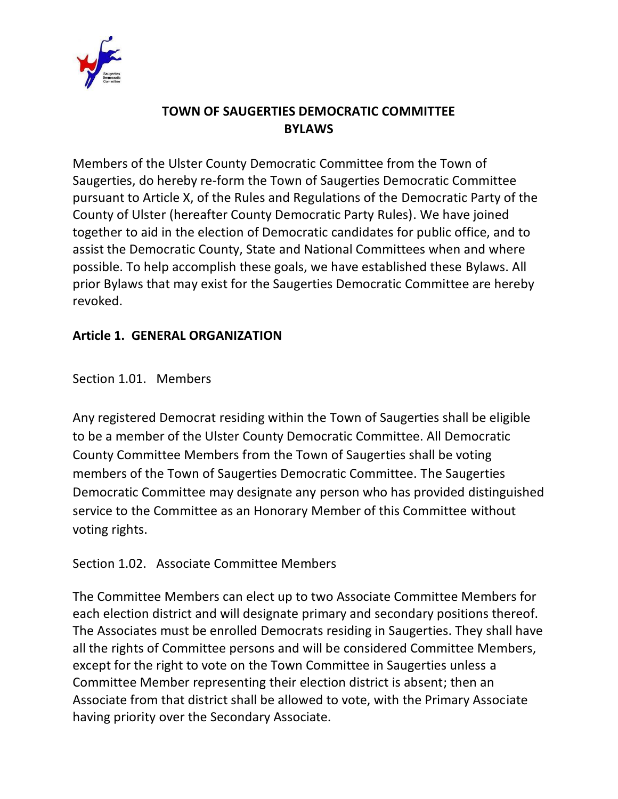

# **TOWN OF SAUGERTIES DEMOCRATIC COMMITTEE BYLAWS**

Members of the Ulster County Democratic Committee from the Town of Saugerties, do hereby re-form the Town of Saugerties Democratic Committee pursuant to Article X, of the Rules and Regulations of the Democratic Party of the County of Ulster (hereafter County Democratic Party Rules). We have joined together to aid in the election of Democratic candidates for public office, and to assist the Democratic County, State and National Committees when and where possible. To help accomplish these goals, we have established these Bylaws. All prior Bylaws that may exist for the Saugerties Democratic Committee are hereby revoked.

# **Article 1. GENERAL ORGANIZATION**

Section 1.01. Members

Any registered Democrat residing within the Town of Saugerties shall be eligible to be a member of the Ulster County Democratic Committee. All Democratic County Committee Members from the Town of Saugerties shall be voting members of the Town of Saugerties Democratic Committee. The Saugerties Democratic Committee may designate any person who has provided distinguished service to the Committee as an Honorary Member of this Committee without voting rights.

Section 1.02. Associate Committee Members

The Committee Members can elect up to two Associate Committee Members for each election district and will designate primary and secondary positions thereof. The Associates must be enrolled Democrats residing in Saugerties. They shall have all the rights of Committee persons and will be considered Committee Members, except for the right to vote on the Town Committee in Saugerties unless a Committee Member representing their election district is absent; then an Associate from that district shall be allowed to vote, with the Primary Associate having priority over the Secondary Associate.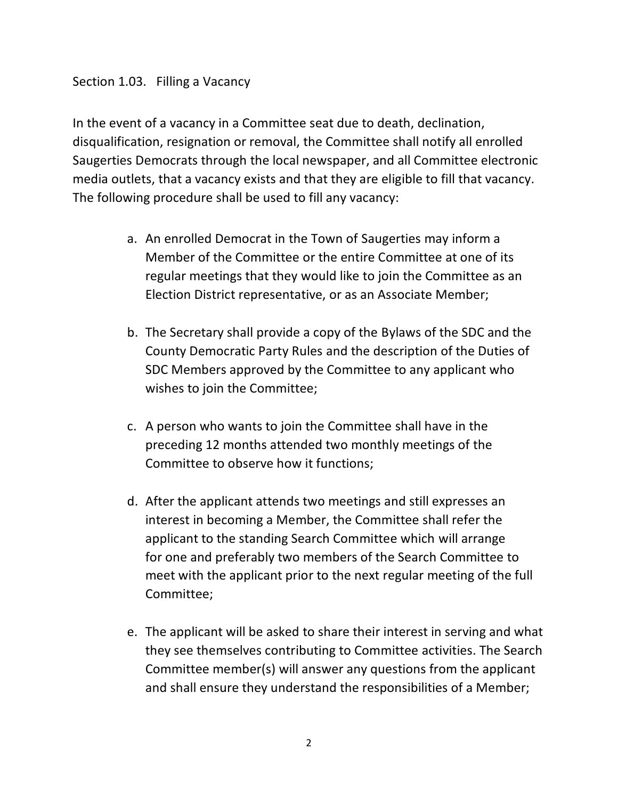#### Section 1.03. Filling a Vacancy

In the event of a vacancy in a Committee seat due to death, declination, disqualification, resignation or removal, the Committee shall notify all enrolled Saugerties Democrats through the local newspaper, and all Committee electronic media outlets, that a vacancy exists and that they are eligible to fill that vacancy. The following procedure shall be used to fill any vacancy:

- a. An enrolled Democrat in the Town of Saugerties may inform a Member of the Committee or the entire Committee at one of its regular meetings that they would like to join the Committee as an Election District representative, or as an Associate Member;
- b. The Secretary shall provide a copy of the Bylaws of the SDC and the County Democratic Party Rules and the description of the Duties of SDC Members approved by the Committee to any applicant who wishes to join the Committee;
- c. A person who wants to join the Committee shall have in the preceding 12 months attended two monthly meetings of the Committee to observe how it functions;
- d. After the applicant attends two meetings and still expresses an interest in becoming a Member, the Committee shall refer the applicant to the standing Search Committee which will arrange for one and preferably two members of the Search Committee to meet with the applicant prior to the next regular meeting of the full Committee;
- e. The applicant will be asked to share their interest in serving and what they see themselves contributing to Committee activities. The Search Committee member(s) will answer any questions from the applicant and shall ensure they understand the responsibilities of a Member;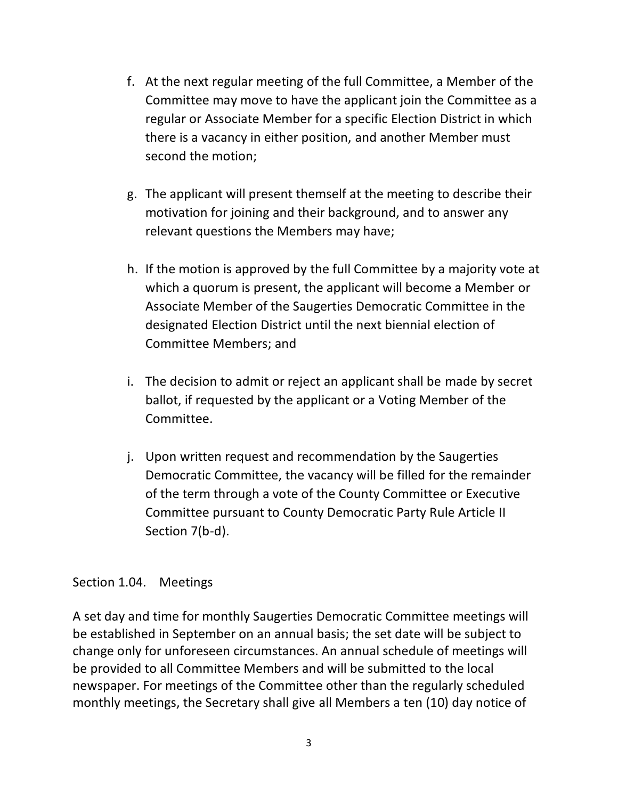- f. At the next regular meeting of the full Committee, a Member of the Committee may move to have the applicant join the Committee as a regular or Associate Member for a specific Election District in which there is a vacancy in either position, and another Member must second the motion;
- g. The applicant will present themself at the meeting to describe their motivation for joining and their background, and to answer any relevant questions the Members may have;
- h. If the motion is approved by the full Committee by a majority vote at which a quorum is present, the applicant will become a Member or Associate Member of the Saugerties Democratic Committee in the designated Election District until the next biennial election of Committee Members; and
- i. The decision to admit or reject an applicant shall be made by secret ballot, if requested by the applicant or a Voting Member of the Committee.
- j. Upon written request and recommendation by the Saugerties Democratic Committee, the vacancy will be filled for the remainder of the term through a vote of the County Committee or Executive Committee pursuant to County Democratic Party Rule Article II Section 7(b-d).

#### Section 1.04. Meetings

A set day and time for monthly Saugerties Democratic Committee meetings will be established in September on an annual basis; the set date will be subject to change only for unforeseen circumstances. An annual schedule of meetings will be provided to all Committee Members and will be submitted to the local newspaper. For meetings of the Committee other than the regularly scheduled monthly meetings, the Secretary shall give all Members a ten (10) day notice of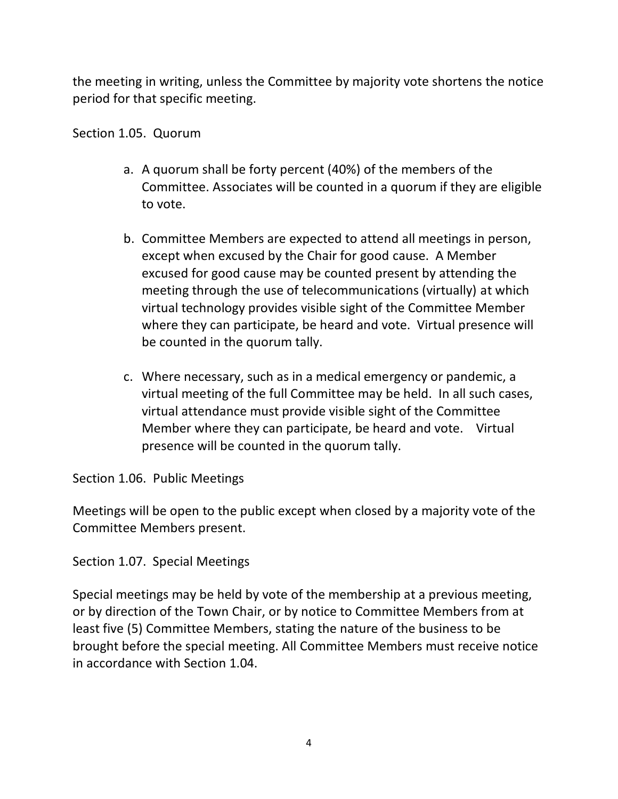the meeting in writing, unless the Committee by majority vote shortens the notice period for that specific meeting.

Section 1.05. Quorum

- a. A quorum shall be forty percent (40%) of the members of the Committee. Associates will be counted in a quorum if they are eligible to vote.
- b. Committee Members are expected to attend all meetings in person, except when excused by the Chair for good cause. A Member excused for good cause may be counted present by attending the meeting through the use of telecommunications (virtually) at which virtual technology provides visible sight of the Committee Member where they can participate, be heard and vote. Virtual presence will be counted in the quorum tally.
- c. Where necessary, such as in a medical emergency or pandemic, a virtual meeting of the full Committee may be held. In all such cases, virtual attendance must provide visible sight of the Committee Member where they can participate, be heard and vote. Virtual presence will be counted in the quorum tally.

Section 1.06. Public Meetings

Meetings will be open to the public except when closed by a majority vote of the Committee Members present.

Section 1.07. Special Meetings

Special meetings may be held by vote of the membership at a previous meeting, or by direction of the Town Chair, or by notice to Committee Members from at least five (5) Committee Members, stating the nature of the business to be brought before the special meeting. All Committee Members must receive notice in accordance with Section 1.04.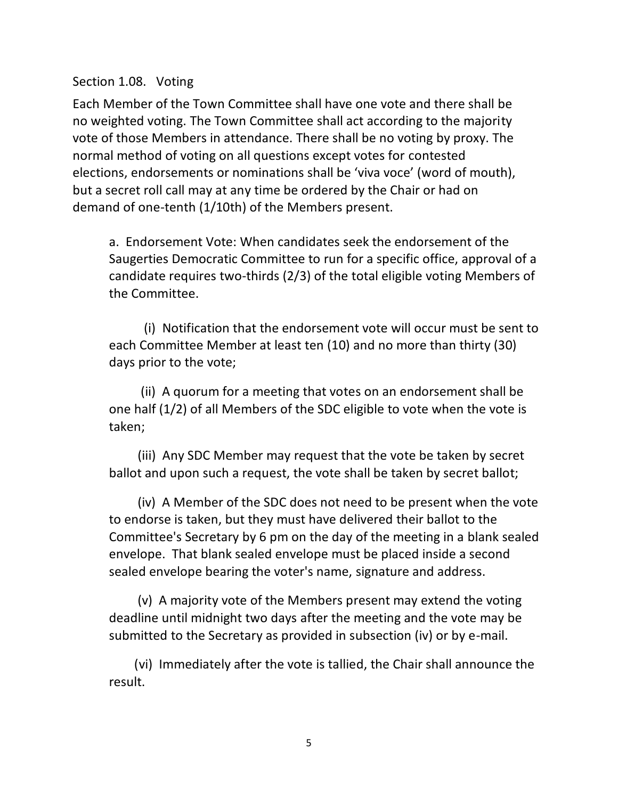Section 1.08. Voting

Each Member of the Town Committee shall have one vote and there shall be no weighted voting. The Town Committee shall act according to the majority vote of those Members in attendance. There shall be no voting by proxy. The normal method of voting on all questions except votes for contested elections, endorsements or nominations shall be 'viva voce' (word of mouth), but a secret roll call may at any time be ordered by the Chair or had on demand of one-tenth (1/10th) of the Members present.

a. Endorsement Vote: When candidates seek the endorsement of the Saugerties Democratic Committee to run for a specific office, approval of a candidate requires two-thirds (2/3) of the total eligible voting Members of the Committee.

 (i) Notification that the endorsement vote will occur must be sent to each Committee Member at least ten (10) and no more than thirty (30) days prior to the vote;

 (ii) A quorum for a meeting that votes on an endorsement shall be one half (1/2) of all Members of the SDC eligible to vote when the vote is taken;

 (iii) Any SDC Member may request that the vote be taken by secret ballot and upon such a request, the vote shall be taken by secret ballot;

 (iv) A Member of the SDC does not need to be present when the vote to endorse is taken, but they must have delivered their ballot to the Committee's Secretary by 6 pm on the day of the meeting in a blank sealed envelope. That blank sealed envelope must be placed inside a second sealed envelope bearing the voter's name, signature and address.

 (v) A majority vote of the Members present may extend the voting deadline until midnight two days after the meeting and the vote may be submitted to the Secretary as provided in subsection (iv) or by e-mail.

 (vi) Immediately after the vote is tallied, the Chair shall announce the result.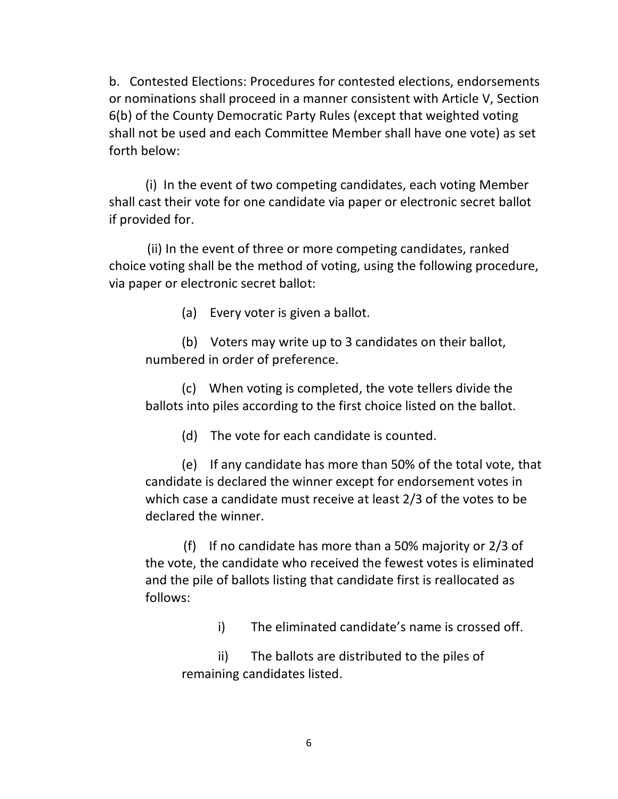b. Contested Elections: Procedures for contested elections, endorsements or nominations shall proceed in a manner consistent with Article V, Section 6(b) of the County Democratic Party Rules (except that weighted voting shall not be used and each Committee Member shall have one vote) as set forth below:

(i) In the event of two competing candidates, each voting Member shall cast their vote for one candidate via paper or electronic secret ballot if provided for.

 (ii) In the event of three or more competing candidates, ranked choice voting shall be the method of voting, using the following procedure, via paper or electronic secret ballot:

(a) Every voter is given a ballot.

(b) Voters may write up to 3 candidates on their ballot, numbered in order of preference.

(c) When voting is completed, the vote tellers divide the ballots into piles according to the first choice listed on the ballot.

(d) The vote for each candidate is counted.

(e) If any candidate has more than 50% of the total vote, that candidate is declared the winner except for endorsement votes in which case a candidate must receive at least 2/3 of the votes to be declared the winner.

 (f) If no candidate has more than a 50% majority or 2/3 of the vote, the candidate who received the fewest votes is eliminated and the pile of ballots listing that candidate first is reallocated as follows:

i) The eliminated candidate's name is crossed off.

ii) The ballots are distributed to the piles of remaining candidates listed.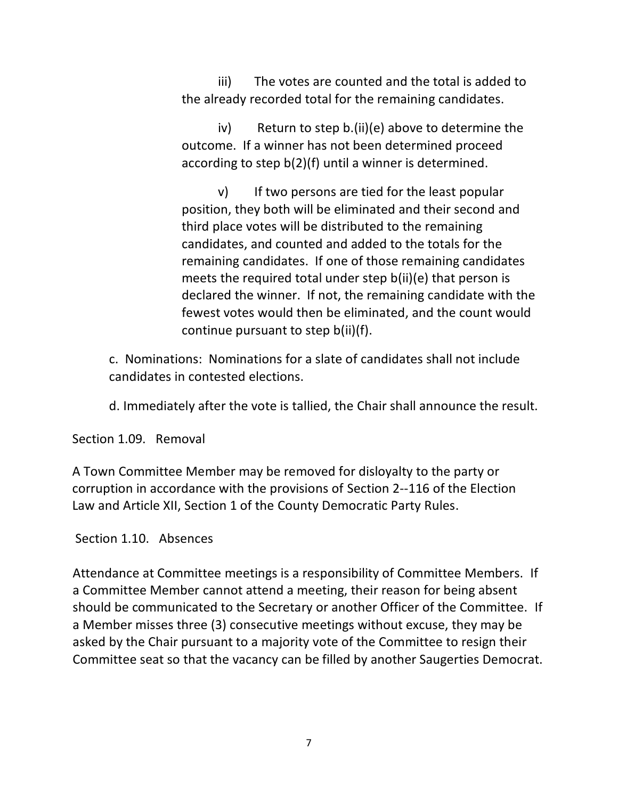iii) The votes are counted and the total is added to the already recorded total for the remaining candidates.

iv) Return to step b.(ii)(e) above to determine the outcome. If a winner has not been determined proceed according to step b(2)(f) until a winner is determined.

v) If two persons are tied for the least popular position, they both will be eliminated and their second and third place votes will be distributed to the remaining candidates, and counted and added to the totals for the remaining candidates. If one of those remaining candidates meets the required total under step b(ii)(e) that person is declared the winner. If not, the remaining candidate with the fewest votes would then be eliminated, and the count would continue pursuant to step b(ii)(f).

c. Nominations: Nominations for a slate of candidates shall not include candidates in contested elections.

d. Immediately after the vote is tallied, the Chair shall announce the result.

Section 1.09. Removal

A Town Committee Member may be removed for disloyalty to the party or corruption in accordance with the provisions of Section 2--116 of the Election Law and Article XII, Section 1 of the County Democratic Party Rules.

Section 1.10. Absences

Attendance at Committee meetings is a responsibility of Committee Members. If a Committee Member cannot attend a meeting, their reason for being absent should be communicated to the Secretary or another Officer of the Committee. If a Member misses three (3) consecutive meetings without excuse, they may be asked by the Chair pursuant to a majority vote of the Committee to resign their Committee seat so that the vacancy can be filled by another Saugerties Democrat.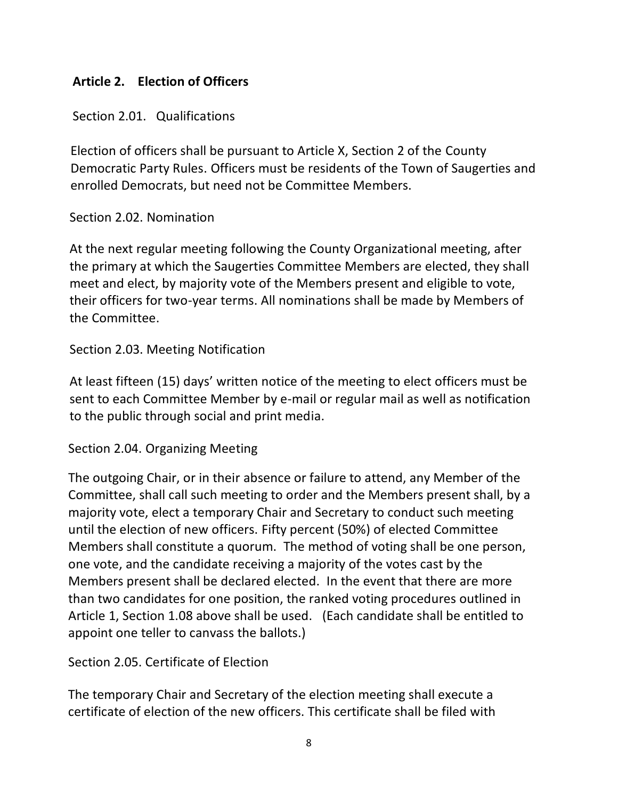# **Article 2. Election of Officers**

Section 2.01. Qualifications

Election of officers shall be pursuant to Article X, Section 2 of the County Democratic Party Rules. Officers must be residents of the Town of Saugerties and enrolled Democrats, but need not be Committee Members.

# Section 2.02. Nomination

At the next regular meeting following the County Organizational meeting, after the primary at which the Saugerties Committee Members are elected, they shall meet and elect, by majority vote of the Members present and eligible to vote, their officers for two-year terms. All nominations shall be made by Members of the Committee.

# Section 2.03. Meeting Notification

At least fifteen (15) days' written notice of the meeting to elect officers must be sent to each Committee Member by e-mail or regular mail as well as notification to the public through social and print media.

# Section 2.04. Organizing Meeting

The outgoing Chair, or in their absence or failure to attend, any Member of the Committee, shall call such meeting to order and the Members present shall, by a majority vote, elect a temporary Chair and Secretary to conduct such meeting until the election of new officers. Fifty percent (50%) of elected Committee Members shall constitute a quorum. The method of voting shall be one person, one vote, and the candidate receiving a majority of the votes cast by the Members present shall be declared elected. In the event that there are more than two candidates for one position, the ranked voting procedures outlined in Article 1, Section 1.08 above shall be used. (Each candidate shall be entitled to appoint one teller to canvass the ballots.)

Section 2.05. Certificate of Election

The temporary Chair and Secretary of the election meeting shall execute a certificate of election of the new officers. This certificate shall be filed with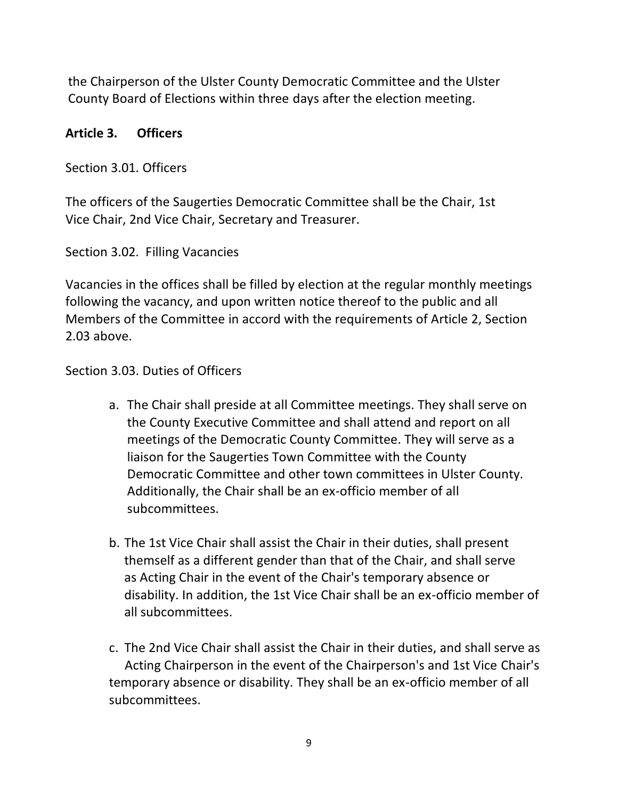the Chairperson of the Ulster County Democratic Committee and the Ulster County Board of Elections within three days after the election meeting.

# **Article 3. Officers**

Section 3.01. Officers

The officers of the Saugerties Democratic Committee shall be the Chair, 1st Vice Chair, 2nd Vice Chair, Secretary and Treasurer.

Section 3.02. Filling Vacancies

Vacancies in the offices shall be filled by election at the regular monthly meetings following the vacancy, and upon written notice thereof to the public and all Members of the Committee in accord with the requirements of Article 2, Section 2.03 above.

Section 3.03. Duties of Officers

- a. The Chair shall preside at all Committee meetings. They shall serve on the County Executive Committee and shall attend and report on all meetings of the Democratic County Committee. They will serve as a liaison for the Saugerties Town Committee with the County Democratic Committee and other town committees in Ulster County. Additionally, the Chair shall be an ex-officio member of all subcommittees.
- b. The 1st Vice Chair shall assist the Chair in their duties, shall present themself as a different gender than that of the Chair, and shall serve as Acting Chair in the event of the Chair's temporary absence or disability. In addition, the 1st Vice Chair shall be an ex-officio member of all subcommittees.
- c. The 2nd Vice Chair shall assist the Chair in their duties, and shall serve as Acting Chairperson in the event of the Chairperson's and 1st Vice Chair's temporary absence or disability. They shall be an ex-officio member of all subcommittees.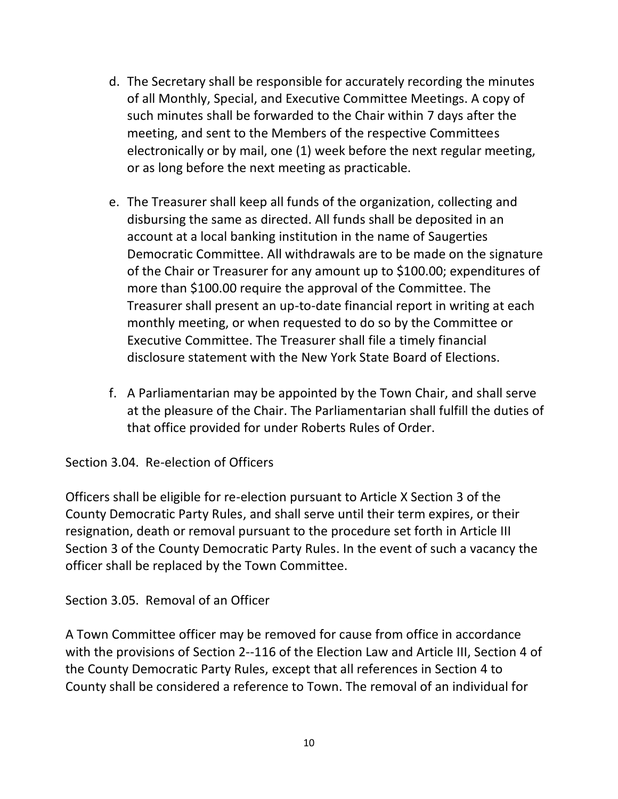- d. The Secretary shall be responsible for accurately recording the minutes of all Monthly, Special, and Executive Committee Meetings. A copy of such minutes shall be forwarded to the Chair within 7 days after the meeting, and sent to the Members of the respective Committees electronically or by mail, one (1) week before the next regular meeting, or as long before the next meeting as practicable.
- e. The Treasurer shall keep all funds of the organization, collecting and disbursing the same as directed. All funds shall be deposited in an account at a local banking institution in the name of Saugerties Democratic Committee. All withdrawals are to be made on the signature of the Chair or Treasurer for any amount up to \$100.00; expenditures of more than \$100.00 require the approval of the Committee. The Treasurer shall present an up-to-date financial report in writing at each monthly meeting, or when requested to do so by the Committee or Executive Committee. The Treasurer shall file a timely financial disclosure statement with the New York State Board of Elections.
- f. A Parliamentarian may be appointed by the Town Chair, and shall serve at the pleasure of the Chair. The Parliamentarian shall fulfill the duties of that office provided for under Roberts Rules of Order.

Section 3.04. Re-election of Officers

Officers shall be eligible for re-election pursuant to Article X Section 3 of the County Democratic Party Rules, and shall serve until their term expires, or their resignation, death or removal pursuant to the procedure set forth in Article III Section 3 of the County Democratic Party Rules. In the event of such a vacancy the officer shall be replaced by the Town Committee.

Section 3.05. Removal of an Officer

A Town Committee officer may be removed for cause from office in accordance with the provisions of Section 2--116 of the Election Law and Article III, Section 4 of the County Democratic Party Rules, except that all references in Section 4 to County shall be considered a reference to Town. The removal of an individual for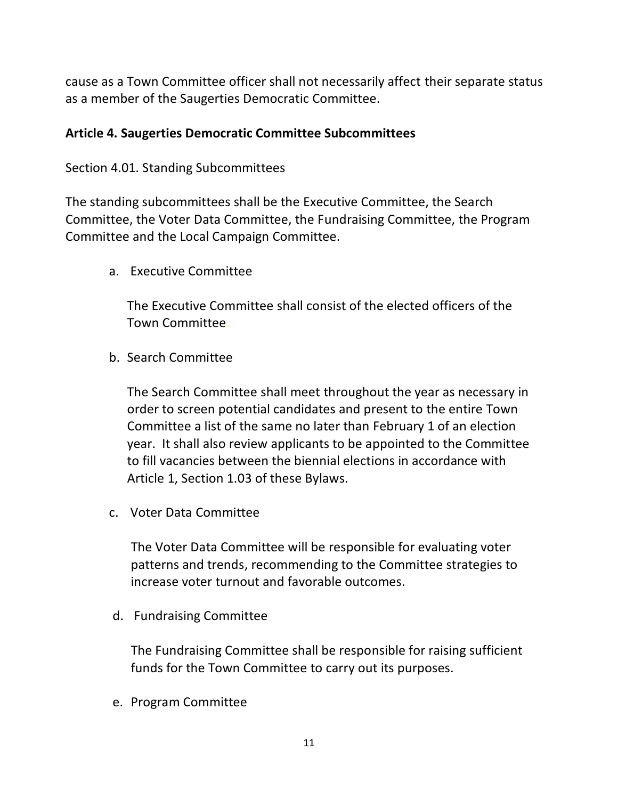cause as a Town Committee officer shall not necessarily affect their separate status as a member of the Saugerties Democratic Committee.

#### **Article 4. Saugerties Democratic Committee Subcommittees**

#### Section 4.01. Standing Subcommittees

The standing subcommittees shall be the Executive Committee, the Search Committee, the Voter Data Committee, the Fundraising Committee, the Program Committee and the Local Campaign Committee.

a. Executive Committee

The Executive Committee shall consist of the elected officers of the Town Committee.

b. Search Committee

The Search Committee shall meet throughout the year as necessary in order to screen potential candidates and present to the entire Town Committee a list of the same no later than February 1 of an election year. It shall also review applicants to be appointed to the Committee to fill vacancies between the biennial elections in accordance with Article 1, Section 1.03 of these Bylaws.

c. Voter Data Committee

The Voter Data Committee will be responsible for evaluating voter patterns and trends, recommending to the Committee strategies to increase voter turnout and favorable outcomes.

d. Fundraising Committee

The Fundraising Committee shall be responsible for raising sufficient funds for the Town Committee to carry out its purposes.

e. Program Committee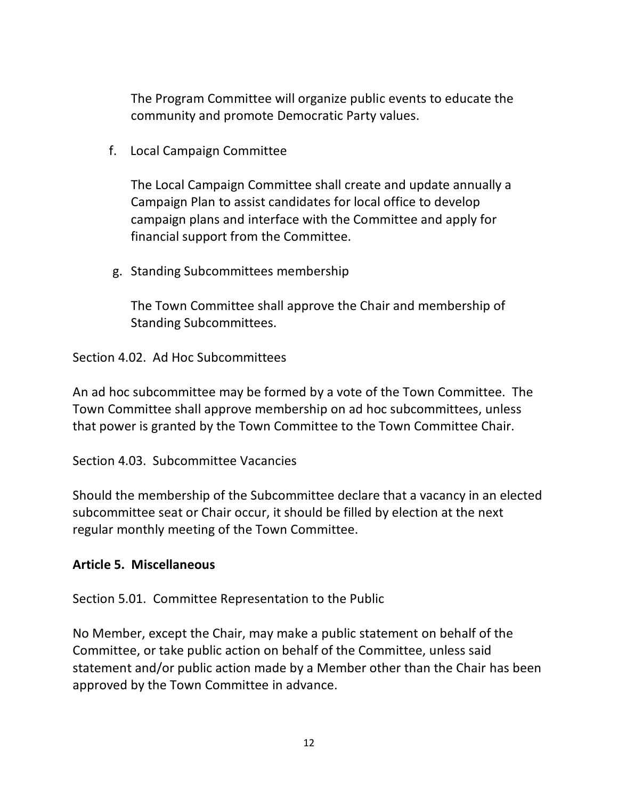The Program Committee will organize public events to educate the community and promote Democratic Party values.

f. Local Campaign Committee

The Local Campaign Committee shall create and update annually a Campaign Plan to assist candidates for local office to develop campaign plans and interface with the Committee and apply for financial support from the Committee.

g. Standing Subcommittees membership

The Town Committee shall approve the Chair and membership of Standing Subcommittees.

Section 4.02. Ad Hoc Subcommittees

An ad hoc subcommittee may be formed by a vote of the Town Committee. The Town Committee shall approve membership on ad hoc subcommittees, unless that power is granted by the Town Committee to the Town Committee Chair.

Section 4.03. Subcommittee Vacancies

Should the membership of the Subcommittee declare that a vacancy in an elected subcommittee seat or Chair occur, it should be filled by election at the next regular monthly meeting of the Town Committee.

# **Article 5. Miscellaneous**

Section 5.01. Committee Representation to the Public

No Member, except the Chair, may make a public statement on behalf of the Committee, or take public action on behalf of the Committee, unless said statement and/or public action made by a Member other than the Chair has been approved by the Town Committee in advance.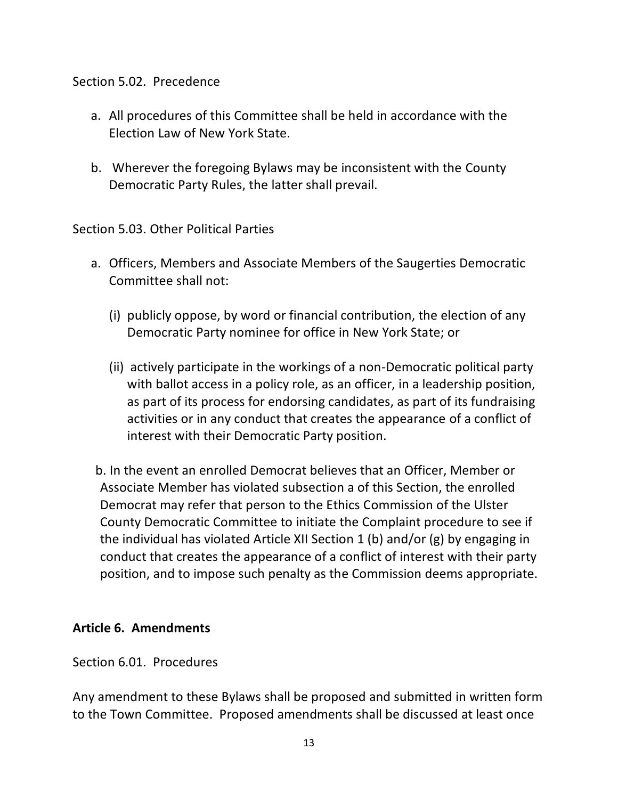#### Section 5.02. Precedence

- a. All procedures of this Committee shall be held in accordance with the Election Law of New York State.
- b. Wherever the foregoing Bylaws may be inconsistent with the County Democratic Party Rules, the latter shall prevail.

Section 5.03. Other Political Parties

- a. Officers, Members and Associate Members of the Saugerties Democratic Committee shall not:
	- (i) publicly oppose, by word or financial contribution, the election of any Democratic Party nominee for office in New York State; or
	- (ii) actively participate in the workings of a non-Democratic political party with ballot access in a policy role, as an officer, in a leadership position, as part of its process for endorsing candidates, as part of its fundraising activities or in any conduct that creates the appearance of a conflict of interest with their Democratic Party position.

b. In the event an enrolled Democrat believes that an Officer, Member or Associate Member has violated subsection a of this Section, the enrolled Democrat may refer that person to the Ethics Commission of the Ulster County Democratic Committee to initiate the Complaint procedure to see if the individual has violated Article XII Section 1 (b) and/or (g) by engaging in conduct that creates the appearance of a conflict of interest with their party position, and to impose such penalty as the Commission deems appropriate.

# **Article 6. Amendments**

Section 6.01. Procedures

Any amendment to these Bylaws shall be proposed and submitted in written form to the Town Committee. Proposed amendments shall be discussed at least once